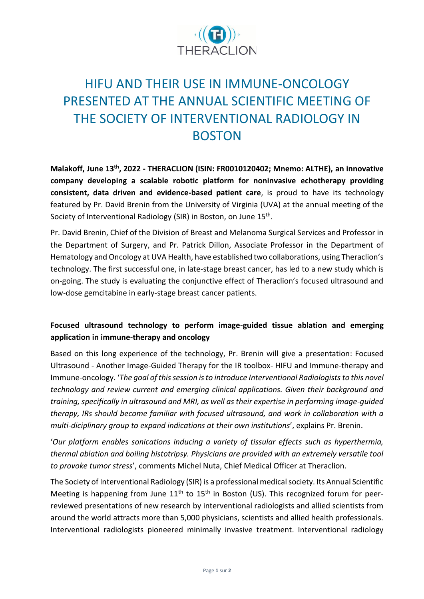

# HIFU AND THEIR USE IN IMMUNE-ONCOLOGY PRESENTED AT THE ANNUAL SCIENTIFIC MEETING OF THE SOCIETY OF INTERVENTIONAL RADIOLOGY IN BOSTON

**Malakoff, June 13th , 2022 - THERACLION (ISIN: FR0010120402; Mnemo: ALTHE), an innovative company developing a scalable robotic platform for noninvasive echotherapy providing consistent, data driven and evidence-based patient care**, is proud to have its technology featured by Pr. David Brenin from the University of Virginia (UVA) at the annual meeting of the Society of Interventional Radiology (SIR) in Boston, on June 15<sup>th</sup>.

Pr. David Brenin, Chief of the Division of Breast and Melanoma Surgical Services and Professor in the Department of Surgery, and Pr. Patrick Dillon, Associate Professor in the Department of Hematology and Oncology at UVA Health, have established two collaborations, using Theraclion's technology. The first successful one, in late-stage breast cancer, has led to a new study which is on-going. The study is evaluating the conjunctive effect of Theraclion's focused ultrasound and low-dose gemcitabine in early-stage breast cancer patients.

## **Focused ultrasound technology to perform image-guided tissue ablation and emerging application in immune-therapy and oncology**

Based on this long experience of the technology, Pr. Brenin will give a presentation: Focused Ultrasound - Another Image-Guided Therapy for the IR toolbox- HIFU and Immune-therapy and Immune-oncology. '*The goal of this session is to introduce Interventional Radiologists to this novel technology and review current and emerging clinical applications. Given their background and training, specifically in ultrasound and MRI, as well as their expertise in performing image-guided therapy, IRs should become familiar with focused ultrasound, and work in collaboration with a multi-diciplinary group to expand indications at their own institutions*', explains Pr. Brenin.

'*Our platform enables sonications inducing a variety of tissular effects such as hyperthermia, thermal ablation and boiling histotripsy. Physicians are provided with an extremely versatile tool to provoke tumor stress*', comments Michel Nuta, Chief Medical Officer at Theraclion.

The Society of Interventional Radiology (SIR) is a professional medical society. Its Annual Scientific Meeting is happening from June  $11<sup>th</sup>$  to  $15<sup>th</sup>$  in Boston (US). This recognized forum for peerreviewed presentations of new research by interventional radiologists and allied scientists from around the world attracts more than 5,000 physicians, scientists and allied health professionals. Interventional radiologists pioneered minimally invasive treatment. Interventional radiology